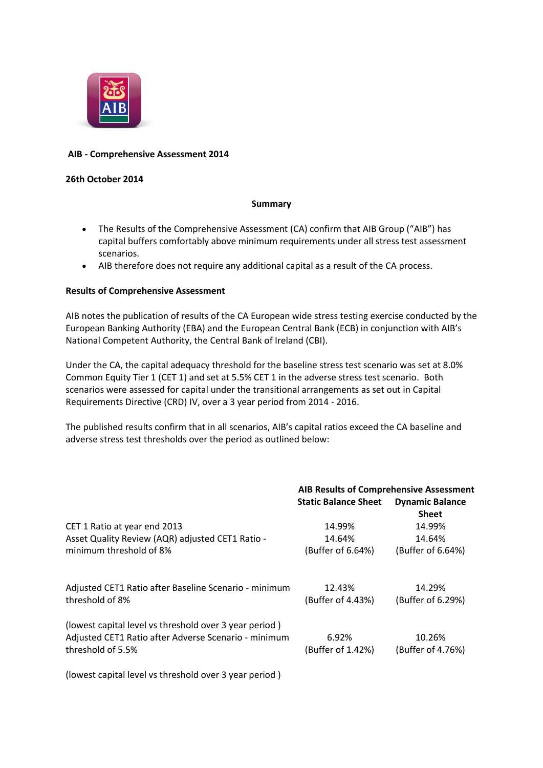

# **AIB - Comprehensive Assessment 2014**

## **26th October 2014**

## **Summary**

- The Results of the Comprehensive Assessment (CA) confirm that AIB Group ("AIB") has capital buffers comfortably above minimum requirements under all stress test assessment scenarios.
- AIB therefore does not require any additional capital as a result of the CA process.

## **Results of Comprehensive Assessment**

AIB notes the publication of results of the CA European wide stress testing exercise conducted by the European Banking Authority (EBA) and the European Central Bank (ECB) in conjunction with AIB's National Competent Authority, the Central Bank of Ireland (CBI).

Under the CA, the capital adequacy threshold for the baseline stress test scenario was set at 8.0% Common Equity Tier 1 (CET 1) and set at 5.5% CET 1 in the adverse stress test scenario. Both scenarios were assessed for capital under the transitional arrangements as set out in Capital Requirements Directive (CRD) IV, over a 3 year period from 2014 - 2016.

The published results confirm that in all scenarios, AIB's capital ratios exceed the CA baseline and adverse stress test thresholds over the period as outlined below:

|                                                                                                                                     | <b>AIB Results of Comprehensive Assessment</b> |                                        |
|-------------------------------------------------------------------------------------------------------------------------------------|------------------------------------------------|----------------------------------------|
|                                                                                                                                     | <b>Static Balance Sheet</b>                    | <b>Dynamic Balance</b><br><b>Sheet</b> |
| CET 1 Ratio at year end 2013                                                                                                        | 14.99%                                         | 14.99%                                 |
| Asset Quality Review (AQR) adjusted CET1 Ratio -                                                                                    | 14.64%                                         | 14.64%                                 |
| minimum threshold of 8%                                                                                                             | (Buffer of 6.64%)                              | (Buffer of 6.64%)                      |
| Adjusted CET1 Ratio after Baseline Scenario - minimum<br>threshold of 8%                                                            | 12.43%<br>(Buffer of 4.43%)                    | 14.29%<br>(Buffer of 6.29%)            |
| (lowest capital level vs threshold over 3 year period)<br>Adjusted CET1 Ratio after Adverse Scenario - minimum<br>threshold of 5.5% | 6.92%<br>(Buffer of 1.42%)                     | 10.26%<br>(Buffer of 4.76%)            |
|                                                                                                                                     |                                                |                                        |

(lowest capital level vs threshold over 3 year period )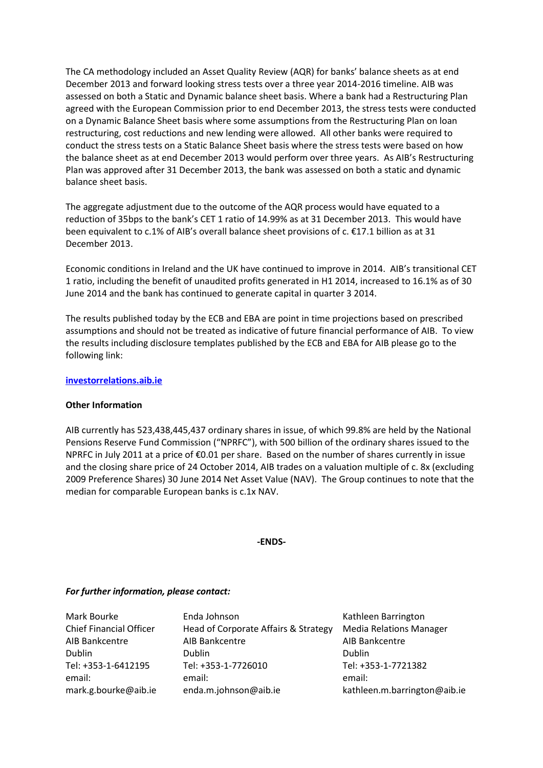The CA methodology included an Asset Quality Review (AQR) for banks' balance sheets as at end December 2013 and forward looking stress tests over a three year 2014-2016 timeline. AIB was assessed on both a Static and Dynamic balance sheet basis. Where a bank had a Restructuring Plan agreed with the European Commission prior to end December 2013, the stress tests were conducted on a Dynamic Balance Sheet basis where some assumptions from the Restructuring Plan on loan restructuring, cost reductions and new lending were allowed. All other banks were required to conduct the stress tests on a Static Balance Sheet basis where the stress tests were based on how the balance sheet as at end December 2013 would perform over three years. As AIB's Restructuring Plan was approved after 31 December 2013, the bank was assessed on both a static and dynamic balance sheet basis.

The aggregate adjustment due to the outcome of the AQR process would have equated to a reduction of 35bps to the bank's CET 1 ratio of 14.99% as at 31 December 2013. This would have been equivalent to c.1% of AIB's overall balance sheet provisions of c. €17.1 billion as at 31 December 2013.

Economic conditions in Ireland and the UK have continued to improve in 2014. AIB's transitional CET 1 ratio, including the benefit of unaudited profits generated in H1 2014, increased to 16.1% as of 30 June 2014 and the bank has continued to generate capital in quarter 3 2014.

The results published today by the ECB and EBA are point in time projections based on prescribed assumptions and should not be treated as indicative of future financial performance of AIB. To view the results including disclosure templates published by the ECB and EBA for AIB please go to the following link:

## **[investorrelations.aib.ie](about:investorrelations.aib.ie)**

#### **Other Information**

AIB currently has 523,438,445,437 ordinary shares in issue, of which 99.8% are held by the National Pensions Reserve Fund Commission ("NPRFC"), with 500 billion of the ordinary shares issued to the NPRFC in July 2011 at a price of €0.01 per share. Based on the number of shares currently in issue and the closing share price of 24 October 2014, AIB trades on a valuation multiple of c. 8x (excluding 2009 Preference Shares) 30 June 2014 Net Asset Value (NAV). The Group continues to note that the median for comparable European banks is c.1x NAV.

#### **-ENDS-**

#### *For further information, please contact:*

| Mark Bourke                    | Enda Johnson                         | Kathleen Barrington            |
|--------------------------------|--------------------------------------|--------------------------------|
| <b>Chief Financial Officer</b> | Head of Corporate Affairs & Strategy | <b>Media Relations Manager</b> |
| AIB Bankcentre                 | AIB Bankcentre                       | AIB Bankcentre                 |
| <b>Dublin</b>                  | Dublin                               | <b>Dublin</b>                  |
| Tel: +353-1-6412195            | Tel: +353-1-7726010                  | Tel: +353-1-7721382            |
| email:                         | email:                               | email:                         |
| mark.g.bourke@aib.ie           | enda.m.johnson@aib.ie                | kathleen.m.barrington@aib.ie   |